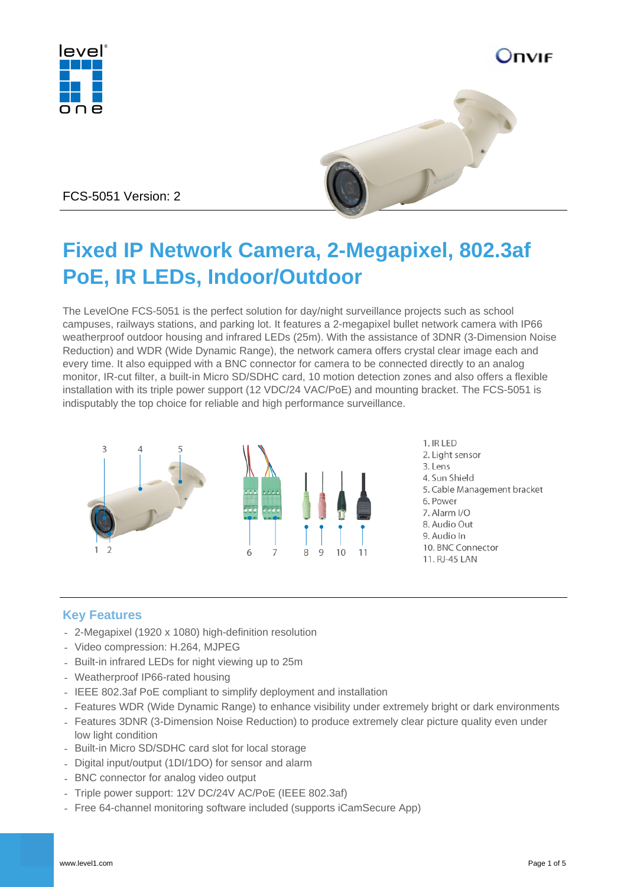

) DVIF



FCS-5051 Version: 2

# **Fixed IP Network Camera, 2-Megapixel, 802.3af PoE, IR LEDs, Indoor/Outdoor**

The LevelOne FCS-5051 is the perfect solution for day/night surveillance projects such as school campuses, railways stations, and parking lot. It features a 2-megapixel bullet network camera with IP66 weatherproof outdoor housing and infrared LEDs (25m). With the assistance of 3DNR (3-Dimension Noise Reduction) and WDR (Wide Dynamic Range), the network camera offers crystal clear image each and every time. It also equipped with a BNC connector for camera to be connected directly to an analog monitor, IR-cut filter, a built-in Micro SD/SDHC card, 10 motion detection zones and also offers a flexible installation with its triple power support (12 VDC/24 VAC/PoE) and mounting bracket. The FCS-5051 is indisputably the top choice for reliable and high performance surveillance.



### **Key Features**

- 2-Megapixel (1920 x 1080) high-definition resolution
- Video compression: H.264, MJPEG
- Built-in infrared LEDs for night viewing up to 25m
- Weatherproof IP66-rated housing
- IEEE 802.3af PoE compliant to simplify deployment and installation
- Features WDR (Wide Dynamic Range) to enhance visibility under extremely bright or dark environments
- Features 3DNR (3-Dimension Noise Reduction) to produce extremely clear picture quality even under low light condition
- Built-in Micro SD/SDHC card slot for local storage
- Digital input/output (1DI/1DO) for sensor and alarm
- BNC connector for analog video output
- Triple power support: 12V DC/24V AC/PoE (IEEE 802.3af)
- Free 64-channel monitoring software included (supports iCamSecure App)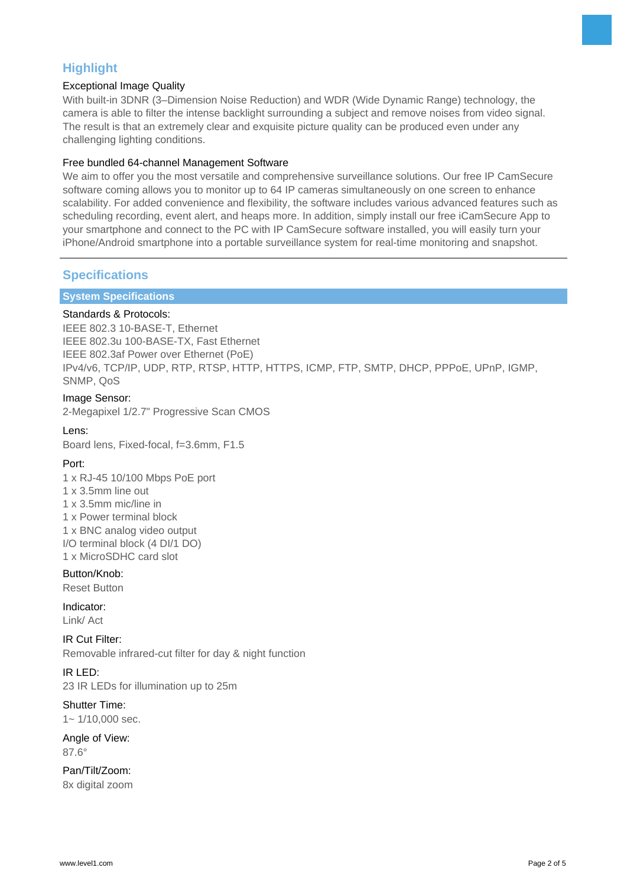### **Highlight**

### Exceptional Image Quality

With built-in 3DNR (3–Dimension Noise Reduction) and WDR (Wide Dynamic Range) technology, the camera is able to filter the intense backlight surrounding a subject and remove noises from video signal. The result is that an extremely clear and exquisite picture quality can be produced even under any challenging lighting conditions.

### Free bundled 64-channel Management Software

We aim to offer you the most versatile and comprehensive surveillance solutions. Our free IP CamSecure software coming allows you to monitor up to 64 IP cameras simultaneously on one screen to enhance scalability. For added convenience and flexibility, the software includes various advanced features such as scheduling recording, event alert, and heaps more. In addition, simply install our free iCamSecure App to your smartphone and connect to the PC with IP CamSecure software installed, you will easily turn your iPhone/Android smartphone into a portable surveillance system for real-time monitoring and snapshot.

### **Specifications**

### **System Specifications**

### Standards & Protocols:

IEEE 802.3 10-BASE-T, Ethernet IEEE 802.3u 100-BASE-TX, Fast Ethernet IEEE 802.3af Power over Ethernet (PoE) IPv4/v6, TCP/IP, UDP, RTP, RTSP, HTTP, HTTPS, ICMP, FTP, SMTP, DHCP, PPPoE, UPnP, IGMP, SNMP, QoS

### Image Sensor:

2-Megapixel 1/2.7" Progressive Scan CMOS

### Lens:

Board lens, Fixed-focal, f=3.6mm, F1.5

### Port:

1 x RJ-45 10/100 Mbps PoE port 1 x 3.5mm line out 1 x 3.5mm mic/line in 1 x Power terminal block 1 x BNC analog video output I/O terminal block (4 DI/1 DO) 1 x MicroSDHC card slot

### Button/Knob:

Reset Button

Indicator: Link/ Act

IR Cut Filter: Removable infrared-cut filter for day & night function

### IR LED:

23 IR LEDs for illumination up to 25m

## Shutter Time:

 $1 - 1/10.000$  sec.

#### Angle of View: 87.6°

Pan/Tilt/Zoom: 8x digital zoom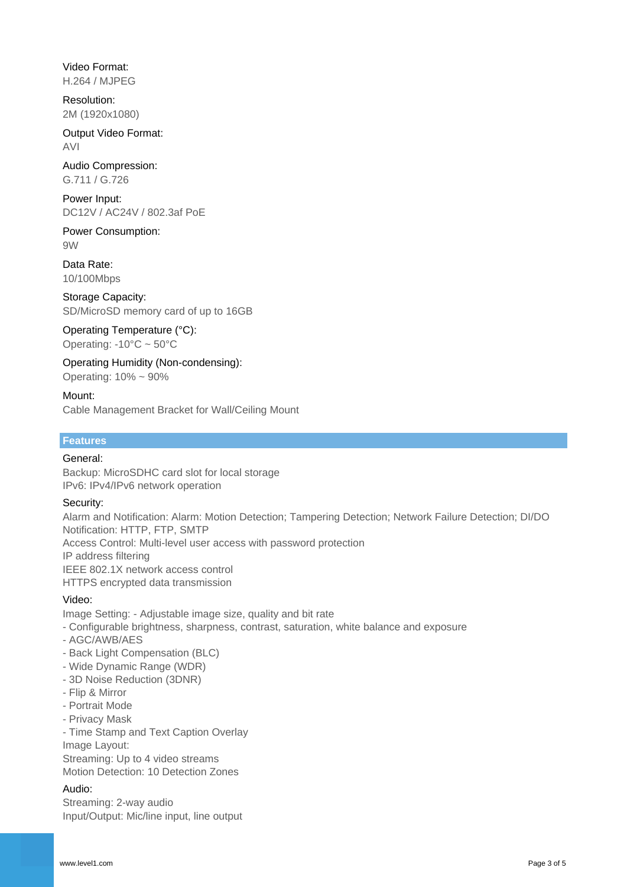Video Format: H.264 / MJPEG

Resolution: 2M (1920x1080)

Output Video Format: AVI

Audio Compression: G.711 / G.726

Power Input: DC12V / AC24V / 802.3af PoE

Power Consumption: 9W

Data Rate: 10/100Mbps

Storage Capacity: SD/MicroSD memory card of up to 16GB

Operating Temperature (°C): Operating: -10°C ~ 50°C

Operating Humidity (Non-condensing): Operating: 10% ~ 90%

### Mount:

Cable Management Bracket for Wall/Ceiling Mount

### **Features**

### General:

Backup: MicroSDHC card slot for local storage IPv6: IPv4/IPv6 network operation

### Security:

Alarm and Notification: Alarm: Motion Detection; Tampering Detection; Network Failure Detection; DI/DO Notification: HTTP, FTP, SMTP Access Control: Multi-level user access with password protection IP address filtering IEEE 802.1X network access control HTTPS encrypted data transmission

### Video:

Image Setting: - Adjustable image size, quality and bit rate

- Configurable brightness, sharpness, contrast, saturation, white balance and exposure

- AGC/AWB/AES
- Back Light Compensation (BLC)
- Wide Dynamic Range (WDR)
- 3D Noise Reduction (3DNR)
- Flip & Mirror
- Portrait Mode
- Privacy Mask

- Time Stamp and Text Caption Overlay Image Layout: Streaming: Up to 4 video streams

Motion Detection: 10 Detection Zones

### Audio:

Streaming: 2-way audio Input/Output: Mic/line input, line output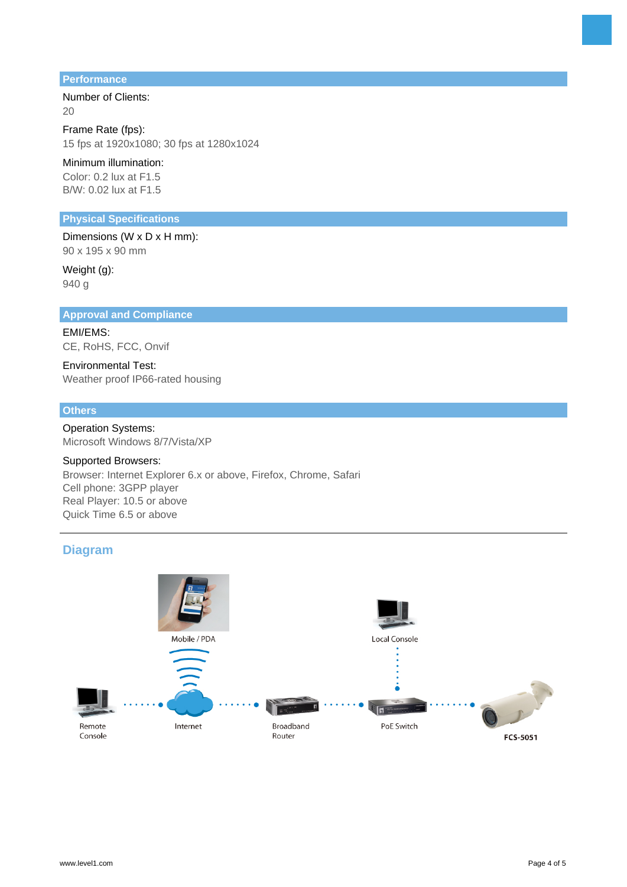#### **Performance**

Number of Clients: 20

Frame Rate (fps): 15 fps at 1920x1080; 30 fps at 1280x1024

Minimum illumination: Color: 0.2 lux at F1.5 B/W: 0.02 lux at F1.5

### **Physical Specifications**

Dimensions (W x D x H mm): 90 x 195 x 90 mm

Weight (g): 940 g

#### **Approval and Compliance**

EMI/EMS: CE, RoHS, FCC, Onvif

Environmental Test: Weather proof IP66-rated housing

### **Others**

Operation Systems: Microsoft Windows 8/7/Vista/XP

#### Supported Browsers:

Browser: Internet Explorer 6.x or above, Firefox, Chrome, Safari Cell phone: 3GPP player Real Player: 10.5 or above Quick Time 6.5 or above

### **Diagram**